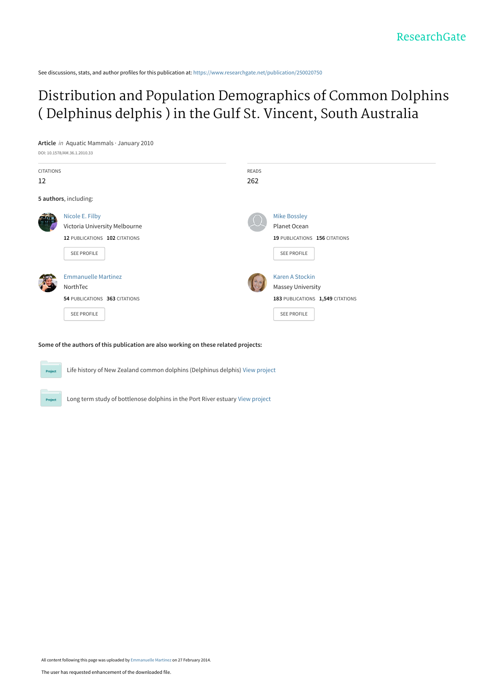See discussions, stats, and author profiles for this publication at: [https://www.researchgate.net/publication/250020750](https://www.researchgate.net/publication/250020750_Distribution_and_Population_Demographics_of_Common_Dolphins_Delphinus_delphis_in_the_Gulf_St_Vincent_South_Australia?enrichId=rgreq-8c5605c2686d6be1bb15d1411b5aeab7-XXX&enrichSource=Y292ZXJQYWdlOzI1MDAyMDc1MDtBUzo5NzA3NDk2NDA3NDUxMkAxNDAwMTU1ODgzNzU3&el=1_x_2&_esc=publicationCoverPdf)

# [Distribution and Population Demographics of Common Dolphins](https://www.researchgate.net/publication/250020750_Distribution_and_Population_Demographics_of_Common_Dolphins_Delphinus_delphis_in_the_Gulf_St_Vincent_South_Australia?enrichId=rgreq-8c5605c2686d6be1bb15d1411b5aeab7-XXX&enrichSource=Y292ZXJQYWdlOzI1MDAyMDc1MDtBUzo5NzA3NDk2NDA3NDUxMkAxNDAwMTU1ODgzNzU3&el=1_x_3&_esc=publicationCoverPdf) ( Delphinus delphis ) in the Gulf St. Vincent, South Australia

**Article** in Aquatic Mammals · January 2010 DOI: 10.1578/AM.36.1.2010.33 CITATIONS 12 READS 262 **5 authors**, including: [Nicole E. Filby](https://www.researchgate.net/profile/Nicole_Filby?enrichId=rgreq-8c5605c2686d6be1bb15d1411b5aeab7-XXX&enrichSource=Y292ZXJQYWdlOzI1MDAyMDc1MDtBUzo5NzA3NDk2NDA3NDUxMkAxNDAwMTU1ODgzNzU3&el=1_x_5&_esc=publicationCoverPdf) [Victoria University Melbourne](https://www.researchgate.net/institution/Victoria_University_Melbourne?enrichId=rgreq-8c5605c2686d6be1bb15d1411b5aeab7-XXX&enrichSource=Y292ZXJQYWdlOzI1MDAyMDc1MDtBUzo5NzA3NDk2NDA3NDUxMkAxNDAwMTU1ODgzNzU3&el=1_x_6&_esc=publicationCoverPdf) **12** PUBLICATIONS **102** CITATIONS [SEE PROFILE](https://www.researchgate.net/profile/Nicole_Filby?enrichId=rgreq-8c5605c2686d6be1bb15d1411b5aeab7-XXX&enrichSource=Y292ZXJQYWdlOzI1MDAyMDc1MDtBUzo5NzA3NDk2NDA3NDUxMkAxNDAwMTU1ODgzNzU3&el=1_x_7&_esc=publicationCoverPdf) [Mike Bossley](https://www.researchgate.net/profile/Mike_Bossley?enrichId=rgreq-8c5605c2686d6be1bb15d1411b5aeab7-XXX&enrichSource=Y292ZXJQYWdlOzI1MDAyMDc1MDtBUzo5NzA3NDk2NDA3NDUxMkAxNDAwMTU1ODgzNzU3&el=1_x_5&_esc=publicationCoverPdf) Planet Ocean **19** PUBLICATIONS **156** CITATIONS [SEE PROFILE](https://www.researchgate.net/profile/Mike_Bossley?enrichId=rgreq-8c5605c2686d6be1bb15d1411b5aeab7-XXX&enrichSource=Y292ZXJQYWdlOzI1MDAyMDc1MDtBUzo5NzA3NDk2NDA3NDUxMkAxNDAwMTU1ODgzNzU3&el=1_x_7&_esc=publicationCoverPdf) [Emmanuelle Martinez](https://www.researchgate.net/profile/Emmanuelle_Martinez?enrichId=rgreq-8c5605c2686d6be1bb15d1411b5aeab7-XXX&enrichSource=Y292ZXJQYWdlOzI1MDAyMDc1MDtBUzo5NzA3NDk2NDA3NDUxMkAxNDAwMTU1ODgzNzU3&el=1_x_5&_esc=publicationCoverPdf) [NorthTec](https://www.researchgate.net/institution/NorthTec?enrichId=rgreq-8c5605c2686d6be1bb15d1411b5aeab7-XXX&enrichSource=Y292ZXJQYWdlOzI1MDAyMDc1MDtBUzo5NzA3NDk2NDA3NDUxMkAxNDAwMTU1ODgzNzU3&el=1_x_6&_esc=publicationCoverPdf) **54** PUBLICATIONS **363** CITATIONS [SEE PROFILE](https://www.researchgate.net/profile/Emmanuelle_Martinez?enrichId=rgreq-8c5605c2686d6be1bb15d1411b5aeab7-XXX&enrichSource=Y292ZXJQYWdlOzI1MDAyMDc1MDtBUzo5NzA3NDk2NDA3NDUxMkAxNDAwMTU1ODgzNzU3&el=1_x_7&_esc=publicationCoverPdf) [Karen A Stockin](https://www.researchgate.net/profile/Karen_Stockin?enrichId=rgreq-8c5605c2686d6be1bb15d1411b5aeab7-XXX&enrichSource=Y292ZXJQYWdlOzI1MDAyMDc1MDtBUzo5NzA3NDk2NDA3NDUxMkAxNDAwMTU1ODgzNzU3&el=1_x_5&_esc=publicationCoverPdf) [Massey University](https://www.researchgate.net/institution/Massey_University?enrichId=rgreq-8c5605c2686d6be1bb15d1411b5aeab7-XXX&enrichSource=Y292ZXJQYWdlOzI1MDAyMDc1MDtBUzo5NzA3NDk2NDA3NDUxMkAxNDAwMTU1ODgzNzU3&el=1_x_6&_esc=publicationCoverPdf) **183** PUBLICATIONS **1,549** CITATIONS [SEE PROFILE](https://www.researchgate.net/profile/Karen_Stockin?enrichId=rgreq-8c5605c2686d6be1bb15d1411b5aeab7-XXX&enrichSource=Y292ZXJQYWdlOzI1MDAyMDc1MDtBUzo5NzA3NDk2NDA3NDUxMkAxNDAwMTU1ODgzNzU3&el=1_x_7&_esc=publicationCoverPdf)

#### **Some of the authors of this publication are also working on these related projects:**

Project

Life history of New Zealand common dolphins (Delphinus delphis) [View project](https://www.researchgate.net/project/Life-history-of-New-Zealand-common-dolphins-Delphinus-delphis?enrichId=rgreq-8c5605c2686d6be1bb15d1411b5aeab7-XXX&enrichSource=Y292ZXJQYWdlOzI1MDAyMDc1MDtBUzo5NzA3NDk2NDA3NDUxMkAxNDAwMTU1ODgzNzU3&el=1_x_9&_esc=publicationCoverPdf)

Long term study of bottlenose dolphins in the Port River estuary [View project](https://www.researchgate.net/project/Long-term-study-of-bottlenose-dolphins-in-the-Port-River-estuary?enrichId=rgreq-8c5605c2686d6be1bb15d1411b5aeab7-XXX&enrichSource=Y292ZXJQYWdlOzI1MDAyMDc1MDtBUzo5NzA3NDk2NDA3NDUxMkAxNDAwMTU1ODgzNzU3&el=1_x_9&_esc=publicationCoverPdf)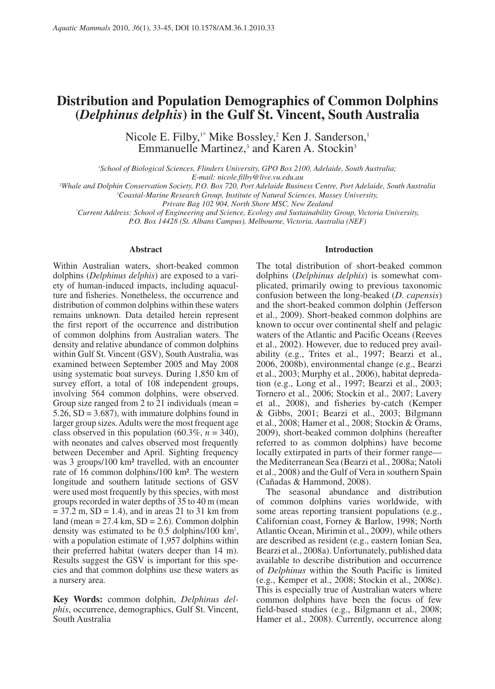# **Distribution and Population Demographics of Common Dolphins (***Delphinus delphis***) in the Gulf St. Vincent, South Australia**

Nicole E. Filby,<sup>1\*</sup> Mike Bossley,<sup>2</sup> Ken J. Sanderson,<sup>1</sup> Emmanuelle Martinez,<sup>3</sup> and Karen A. Stockin<sup>3</sup>

*1 School of Biological Sciences, Flinders University, GPO Box 2100, Adelaide, South Australia;* 

*E-mail: nicole.filby@live.vu.edu.au 2 Whale and Dolphin Conservation Society, P.O. Box 720, Port Adelaide Business Centre, Port Adelaide, South Australia 3*

*Coastal-Marine Research Group, Institute of Natural Sciences, Massey University,* 

*Private Bag 102 904, North Shore MSC, New Zealand \* Current Address: School of Engineering and Science, Ecology and Sustainability Group, Victoria University,* 

*P.O. Box 14428 (St. Albans Campus), Melbourne, Victoria, Australia (NEF)*

# **Abstract**

Within Australian waters, short-beaked common dolphins (*Delphinus delphis*) are exposed to a variety of human-induced impacts, including aquaculture and fisheries. Nonetheless, the occurrence and distribution of common dolphins within these waters remains unknown. Data detailed herein represent the first report of the occurrence and distribution of common dolphins from Australian waters. The density and relative abundance of common dolphins within Gulf St. Vincent (GSV), South Australia, was examined between September 2005 and May 2008 using systematic boat surveys. During 1,850 km of survey effort, a total of 108 independent groups, involving 564 common dolphins, were observed. Group size ranged from 2 to 21 individuals (mean  $=$ 5.26,  $SD = 3.687$ , with immature dolphins found in larger group sizes. Adults were the most frequent age class observed in this population  $(60.3\%, n = 340)$ , with neonates and calves observed most frequently between December and April. Sighting frequency was 3 groups/100 km² travelled, with an encounter rate of 16 common dolphins/100 km². The western longitude and southern latitude sections of GSV were used most frequently by this species, with most groups recorded in water depths of 35 to 40 m (mean  $= 37.2$  m, SD  $= 1.4$ ), and in areas 21 to 31 km from land (mean  $= 27.4$  km,  $SD = 2.6$ ). Common dolphin density was estimated to be 0.5 dolphins/100 km2 , with a population estimate of 1,957 dolphins within their preferred habitat (waters deeper than 14 m). Results suggest the GSV is important for this species and that common dolphins use these waters as a nursery area.

**Key Words:** common dolphin, *Delphinus delphis*, occurrence, demographics, Gulf St. Vincent, South Australia

### **Introduction**

The total distribution of short-beaked common dolphins (*Delphinus delphis*) is somewhat complicated, primarily owing to previous taxonomic confusion between the long-beaked (*D. capensis*) and the short-beaked common dolphin (Jefferson et al., 2009). Short-beaked common dolphins are known to occur over continental shelf and pelagic waters of the Atlantic and Pacific Oceans (Reeves et al., 2002). However, due to reduced prey availability (e.g., Trites et al., 1997; Bearzi et al., 2006, 2008b), environmental change (e.g., Bearzi et al., 2003; Murphy et al., 2006), habitat depredation (e.g., Long et al., 1997; Bearzi et al., 2003; Tornero et al., 2006; Stockin et al., 2007; Lavery et al., 2008), and fisheries by-catch (Kemper & Gibbs, 2001; Bearzi et al., 2003; Bilgmann et al., 2008; Hamer et al., 2008; Stockin & Orams, 2009), short-beaked common dolphins (hereafter referred to as common dolphins) have become locally extirpated in parts of their former range the Mediterranean Sea (Bearzi et al., 2008a; Natoli et al., 2008) and the Gulf of Vera in southern Spain (Cañadas & Hammond, 2008).

The seasonal abundance and distribution of common dolphins varies worldwide, with some areas reporting transient populations (e.g., Californian coast, Forney & Barlow, 1998; North Atlantic Ocean, Mirimin et al., 2009), while others are described as resident (e.g., eastern Ionian Sea, Bearzi et al., 2008a). Unfortunately, published data available to describe distribution and occurrence of *Delphinus* within the South Pacific is limited (e.g., Kemper et al., 2008; Stockin et al., 2008c). This is especially true of Australian waters where common dolphins have been the focus of few field-based studies (e.g., Bilgmann et al., 2008; Hamer et al., 2008). Currently, occurrence along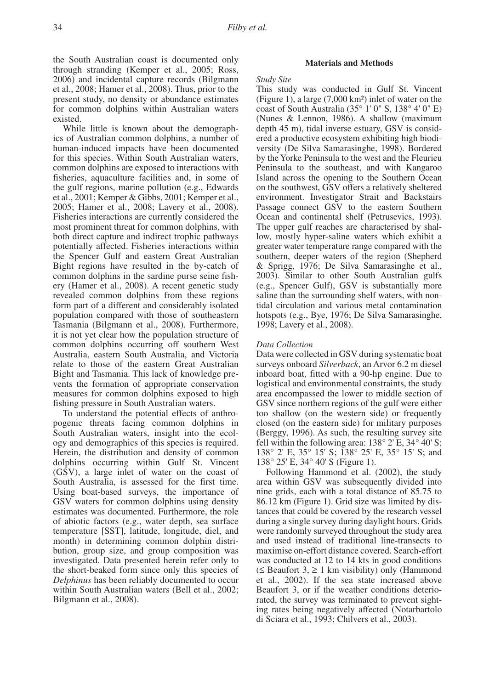the South Australian coast is documented only through stranding (Kemper et al., 2005; Ross, 2006) and incidental capture records (Bilgmann et al., 2008; Hamer et al., 2008). Thus, prior to the present study, no density or abundance estimates for common dolphins within Australian waters existed.

While little is known about the demographics of Australian common dolphins, a number of human-induced impacts have been documented for this species. Within South Australian waters, common dolphins are exposed to interactions with fisheries, aquaculture facilities and, in some of the gulf regions, marine pollution (e.g., Edwards et al., 2001; Kemper & Gibbs, 2001; Kemper et al., 2005; Hamer et al., 2008; Lavery et al., 2008). Fisheries interactions are currently considered the most prominent threat for common dolphins, with both direct capture and indirect trophic pathways potentially affected. Fisheries interactions within the Spencer Gulf and eastern Great Australian Bight regions have resulted in the by-catch of common dolphins in the sardine purse seine fishery (Hamer et al., 2008). A recent genetic study revealed common dolphins from these regions form part of a different and considerably isolated population compared with those of southeastern Tasmania (Bilgmann et al., 2008). Furthermore, it is not yet clear how the population structure of common dolphins occurring off southern West Australia, eastern South Australia, and Victoria relate to those of the eastern Great Australian Bight and Tasmania. This lack of knowledge prevents the formation of appropriate conservation measures for common dolphins exposed to high fishing pressure in South Australian waters.

To understand the potential effects of anthropogenic threats facing common dolphins in South Australian waters, insight into the ecology and demographics of this species is required. Herein, the distribution and density of common dolphins occurring within Gulf St. Vincent (GSV), a large inlet of water on the coast of South Australia, is assessed for the first time. Using boat-based surveys, the importance of GSV waters for common dolphins using density estimates was documented. Furthermore, the role of abiotic factors (e.g., water depth, sea surface temperature [SST], latitude, longitude, diel, and month) in determining common dolphin distribution, group size, and group composition was investigated. Data presented herein refer only to the short-beaked form since only this species of *Delphinus* has been reliably documented to occur within South Australian waters (Bell et al., 2002; Bilgmann et al., 2008).

# **Materials and Methods**

# *Study Site*

This study was conducted in Gulf St. Vincent (Figure 1), a large (7,000 km²) inlet of water on the coast of South Australia (35° 1' 0" S, 138° 4' 0" E) (Nunes & Lennon, 1986). A shallow (maximum depth 45 m), tidal inverse estuary, GSV is considered a productive ecosystem exhibiting high biodiversity (De Silva Samarasinghe, 1998). Bordered by the Yorke Peninsula to the west and the Fleurieu Peninsula to the southeast, and with Kangaroo Island across the opening to the Southern Ocean on the southwest, GSV offers a relatively sheltered environment. Investigator Strait and Backstairs Passage connect GSV to the eastern Southern Ocean and continental shelf (Petrusevics, 1993). The upper gulf reaches are characterised by shallow, mostly hyper-saline waters which exhibit a greater water temperature range compared with the southern, deeper waters of the region (Shepherd & Sprigg, 1976; De Silva Samarasinghe et al., 2003). Similar to other South Australian gulfs (e.g., Spencer Gulf), GSV is substantially more saline than the surrounding shelf waters, with nontidal circulation and various metal contamination hotspots (e.g., Bye, 1976; De Silva Samarasinghe, 1998; Lavery et al., 2008).

# *Data Collection*

Data were collected in GSV during systematic boat surveys onboard *Silverback*, an Arvor 6.2 m diesel inboard boat, fitted with a 90-hp engine. Due to logistical and environmental constraints, the study area encompassed the lower to middle section of GSV since northern regions of the gulf were either too shallow (on the western side) or frequently closed (on the eastern side) for military purposes (Berggy, 1996). As such, the resulting survey site fell within the following area:  $138^{\circ}$  2' E,  $34^{\circ}$  40' S; 138° 2' E, 35° 15' S; 138° 25' E, 35° 15' S; and 138° 25' E, 34° 40' S (Figure 1).

Following Hammond et al. (2002), the study area within GSV was subsequently divided into nine grids, each with a total distance of 85.75 to 86.12 km (Figure 1). Grid size was limited by distances that could be covered by the research vessel during a single survey during daylight hours. Grids were randomly surveyed throughout the study area and used instead of traditional line-transects to maximise on-effort distance covered. Search-effort was conducted at 12 to 14 kts in good conditions ( $≤$  Beaufort 3,  $≥$  1 km visibility) only (Hammond et al., 2002). If the sea state increased above Beaufort 3, or if the weather conditions deteriorated, the survey was terminated to prevent sighting rates being negatively affected (Notarbartolo di Sciara et al., 1993; Chilvers et al., 2003).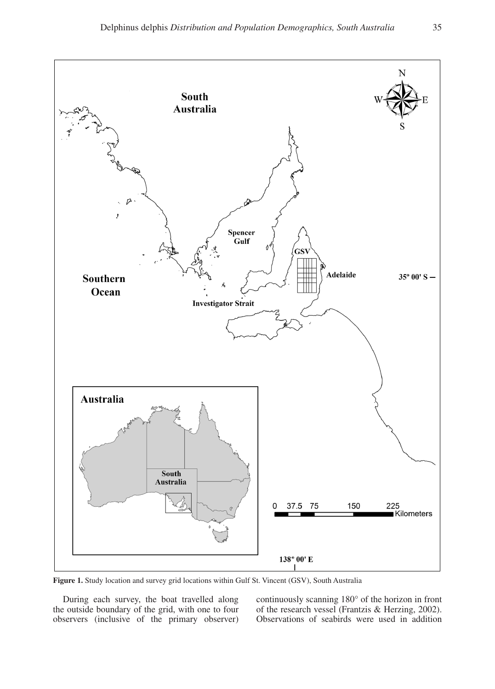

Figure 1. Study location and survey grid locations within Gulf St. Vincent (GSV), South **Figure 1.** Study location and survey grid locations within Gulf St. Vincent (GSV), South Australia

During each survey, the boat travelled along the outside boundary of the grid, with one to four observers (inclusive of the primary observer) continuously scanning 180° of the horizon in front of the research vessel (Frantzis & Herzing, 2002). Observations of seabirds were used in addition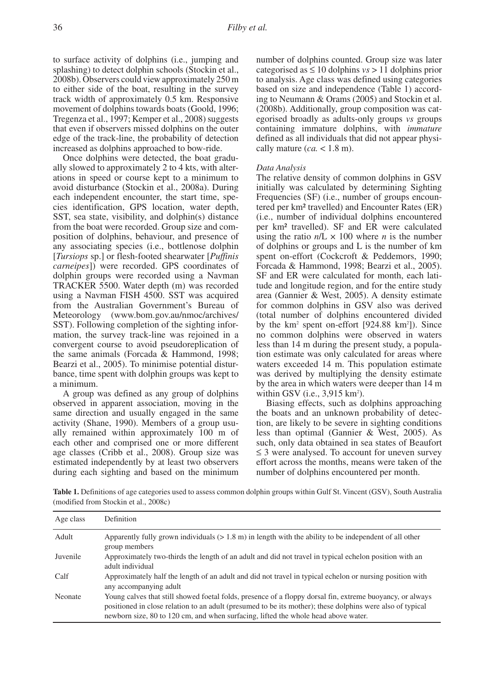to surface activity of dolphins (i.e., jumping and splashing) to detect dolphin schools (Stockin et al., 2008b). Observers could view approximately 250 m to either side of the boat, resulting in the survey track width of approximately 0.5 km. Responsive movement of dolphins towards boats (Goold, 1996; Tregenza et al., 1997; Kemper et al., 2008) suggests that even if observers missed dolphins on the outer edge of the track-line, the probability of detection increased as dolphins approached to bow-ride.

Once dolphins were detected, the boat gradually slowed to approximately 2 to 4 kts, with alterations in speed or course kept to a minimum to avoid disturbance (Stockin et al., 2008a). During each independent encounter, the start time, species identification, GPS location, water depth, SST, sea state, visibility, and dolphin(s) distance from the boat were recorded. Group size and composition of dolphins, behaviour, and presence of any associating species (i.e., bottlenose dolphin [*Tursiops* sp.] or flesh-footed shearwater [*Puffinis carneipes*]) were recorded. GPS coordinates of dolphin groups were recorded using a Navman TRACKER 5500. Water depth (m) was recorded using a Navman FISH 4500. SST was acquired from the Australian Government's Bureau of Meteorology (www.bom.gov.au/nmoc/archives/ SST). Following completion of the sighting information, the survey track-line was rejoined in a convergent course to avoid pseudoreplication of the same animals (Forcada & Hammond, 1998; Bearzi et al., 2005). To minimise potential disturbance, time spent with dolphin groups was kept to a minimum.

A group was defined as any group of dolphins observed in apparent association, moving in the same direction and usually engaged in the same activity (Shane, 1990). Members of a group usually remained within approximately 100 m of each other and comprised one or more different age classes (Cribb et al., 2008). Group size was estimated independently by at least two observers during each sighting and based on the minimum

number of dolphins counted. Group size was later categorised as  $\leq 10$  dolphins *vs* > 11 dolphins prior to analysis. Age class was defined using categories based on size and independence (Table 1) according to Neumann & Orams (2005) and Stockin et al. (2008b). Additionally, group composition was categorised broadly as adults-only groups *vs* groups containing immature dolphins, with *immature* defined as all individuals that did not appear physically mature  $(ca. < 1.8 \text{ m})$ .

# *Data Analysis*

The relative density of common dolphins in GSV initially was calculated by determining Sighting Frequencies (SF) (i.e., number of groups encountered per km² travelled) and Encounter Rates (ER) (i.e., number of individual dolphins encountered per km² travelled). SF and ER were calculated using the ratio  $n/L \times 100$  where *n* is the number of dolphins or groups and L is the number of km spent on-effort (Cockcroft & Peddemors, 1990; Forcada & Hammond, 1998; Bearzi et al., 2005). SF and ER were calculated for month, each latitude and longitude region, and for the entire study area (Gannier & West, 2005). A density estimate for common dolphins in GSV also was derived (total number of dolphins encountered divided by the  $km^2$  spent on-effort [924.88  $km^2$ ]). Since no common dolphins were observed in waters less than 14 m during the present study, a population estimate was only calculated for areas where waters exceeded 14 m. This population estimate was derived by multiplying the density estimate by the area in which waters were deeper than 14 m within GSV (i.e.,  $3,915 \text{ km}^2$ ).

Biasing effects, such as dolphins approaching the boats and an unknown probability of detection, are likely to be severe in sighting conditions less than optimal (Gannier & West, 2005). As such, only data obtained in sea states of Beaufort ≤ 3 were analysed. To account for uneven survey effort across the months, means were taken of the number of dolphins encountered per month.

**Table 1.** Definitions of age categories used to assess common dolphin groups within Gulf St. Vincent (GSV), South Australia (modified from Stockin et al., 2008c)

| Age class | <b>Definition</b>                                                                                                                                                                                                                                                                                            |  |
|-----------|--------------------------------------------------------------------------------------------------------------------------------------------------------------------------------------------------------------------------------------------------------------------------------------------------------------|--|
| Adult     | Apparently fully grown individuals $(> 1.8 \text{ m})$ in length with the ability to be independent of all other<br>group members                                                                                                                                                                            |  |
| Juvenile  | Approximately two-thirds the length of an adult and did not travel in typical echelon position with an<br>adult individual                                                                                                                                                                                   |  |
| Calf      | Approximately half the length of an adult and did not travel in typical echelon or nursing position with<br>any accompanying adult                                                                                                                                                                           |  |
| Neonate   | Young calves that still showed foetal folds, presence of a floppy dorsal fin, extreme buoyancy, or always<br>positioned in close relation to an adult (presumed to be its mother); these dolphins were also of typical<br>newborn size, 80 to 120 cm, and when surfacing, lifted the whole head above water. |  |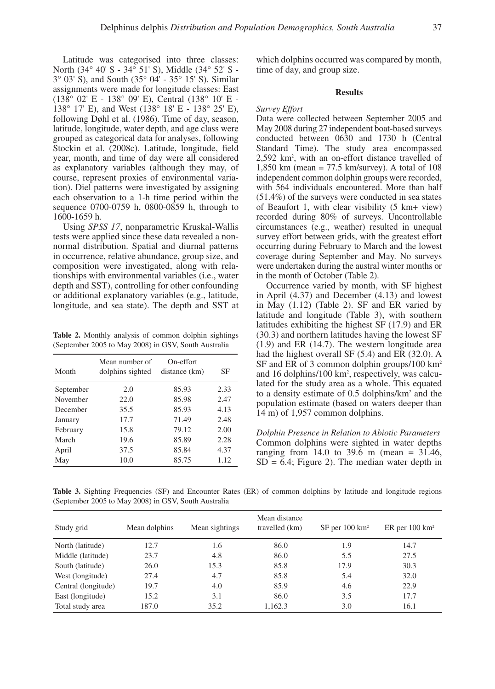Latitude was categorised into three classes: North (34° 40' S - 34° 51' S), Middle (34° 52' S - 3° 03' S), and South (35° 04' - 35° 15' S). Similar assignments were made for longitude classes: East (138° 02' E - 138° 09' E), Central (138° 10' E - 138° 17' E), and West (138° 18' E - 138° 25' E), following Døhl et al. (1986). Time of day, season, latitude, longitude, water depth, and age class were grouped as categorical data for analyses, following Stockin et al. (2008c). Latitude, longitude, field year, month, and time of day were all considered as explanatory variables (although they may, of course, represent proxies of environmental variation). Diel patterns were investigated by assigning each observation to a 1-h time period within the sequence 0700-0759 h, 0800-0859 h, through to 1600-1659 h.

Using *SPSS 17*, nonparametric Kruskal-Wallis tests were applied since these data revealed a nonnormal distribution. Spatial and diurnal patterns in occurrence, relative abundance, group size, and composition were investigated, along with relationships with environmental variables (i.e., water depth and SST), controlling for other confounding or additional explanatory variables (e.g., latitude, longitude, and sea state). The depth and SST at

**Table 2.** Monthly analysis of common dolphin sightings (September 2005 to May 2008) in GSV, South Australia

| Month     | Mean number of<br>dolphins sighted | On-effort<br>distance (km) | SF   |
|-----------|------------------------------------|----------------------------|------|
| September | 2.0                                | 85.93                      | 2.33 |
| November  | 22.0                               | 85.98                      | 2.47 |
| December  | 35.5                               | 85.93                      | 4.13 |
| January   | 17.7                               | 71.49                      | 2.48 |
| February  | 15.8                               | 79.12                      | 2.00 |
| March     | 19.6                               | 85.89                      | 2.28 |
| April     | 37.5                               | 85.84                      | 4.37 |
| May       | 10.0                               | 85.75                      | 1.12 |

which dolphins occurred was compared by month, time of day, and group size.

#### **Results**

### *Survey Effort*

Data were collected between September 2005 and May 2008 during 27 independent boat-based surveys conducted between 0630 and 1730 h (Central Standard Time). The study area encompassed 2,592 km2 , with an on-effort distance travelled of 1,850 km (mean = 77.5 km/survey). A total of 108 independent common dolphin groups were recorded, with 564 individuals encountered. More than half (51.4%) of the surveys were conducted in sea states of Beaufort 1, with clear visibility (5 km+ view) recorded during 80% of surveys. Uncontrollable circumstances (e.g., weather) resulted in unequal survey effort between grids, with the greatest effort occurring during February to March and the lowest coverage during September and May. No surveys were undertaken during the austral winter months or in the month of October (Table 2).

Occurrence varied by month, with SF highest in April (4.37) and December (4.13) and lowest in May (1.12) (Table 2). SF and ER varied by latitude and longitude (Table 3), with southern latitudes exhibiting the highest SF (17.9) and ER (30.3) and northern latitudes having the lowest SF (1.9) and ER (14.7). The western longitude area had the highest overall SF (5.4) and ER (32.0). A SF and ER of 3 common dolphin groups/100 km2 and 16 dolphins/100 km2 , respectively, was calculated for the study area as a whole. This equated to a density estimate of 0.5 dolphins/km2 and the population estimate (based on waters deeper than 14 m) of 1,957 common dolphins.

*Dolphin Presence in Relation to Abiotic Parameters* Common dolphins were sighted in water depths ranging from 14.0 to 39.6 m (mean =  $31.46$ ,  $SD = 6.4$ ; Figure 2). The median water depth in

**Table 3.** Sighting Frequencies (SF) and Encounter Rates (ER) of common dolphins by latitude and longitude regions (September 2005 to May 2008) in GSV, South Australia

| Study grid          | Mean dolphins | Mean sightings | Mean distance<br>travelled (km) | $SF$ per 100 km <sup>2</sup> | ER per $100 \text{ km}^2$ |
|---------------------|---------------|----------------|---------------------------------|------------------------------|---------------------------|
| North (latitude)    | 12.7          | 1.6            | 86.0                            | 1.9                          | 14.7                      |
| Middle (latitude)   | 23.7          | 4.8            | 86.0                            | 5.5                          | 27.5                      |
| South (latitude)    | 26.0          | 15.3           | 85.8                            | 17.9                         | 30.3                      |
| West (longitude)    | 27.4          | 4.7            | 85.8                            | 5.4                          | 32.0                      |
| Central (longitude) | 19.7          | 4.0            | 85.9                            | 4.6                          | 22.9                      |
| East (longitude)    | 15.2          | 3.1            | 86.0                            | 3.5                          | 17.7                      |
| Total study area    | 187.0         | 35.2           | 1.162.3                         | 3.0                          | 16.1                      |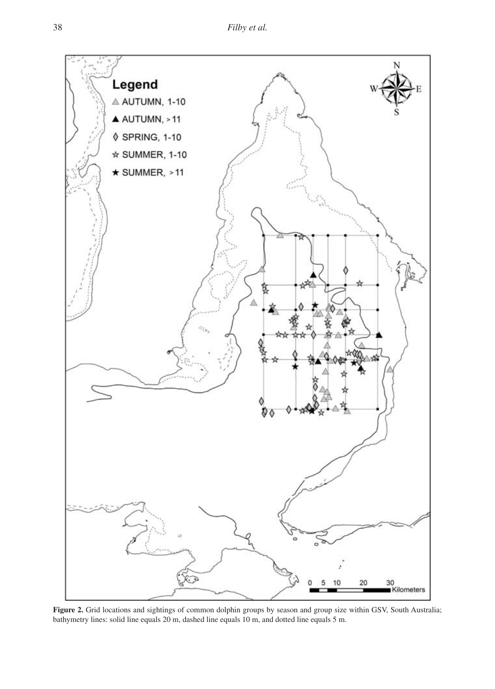

**Figure 2.** Grid locations and sightings of common dolphin groups by season and group size within GSV, South Australia; bathymetry lines: solid line equals 20 m, dashed line equals 10 m, and dotted line equals 5 m.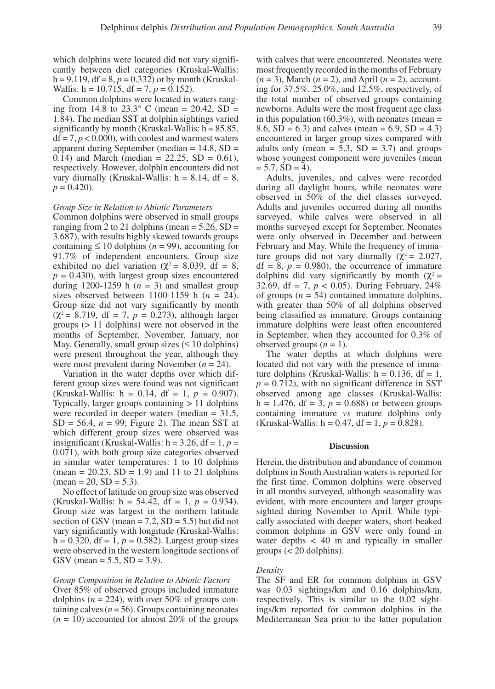which dolphins were located did not vary significantly between diel categories (Kruskal-Wallis:  $h = 9.119$ ,  $df = 8$ ,  $p = 0.332$ ) or by month (Kruskal-Wallis:  $h = 10.715$ ,  $df = 7$ ,  $p = 0.152$ ).

Common dolphins were located in waters ranging from 14.8 to 23.3° C (mean = 20.42, SD = 1.84). The median SST at dolphin sightings varied significantly by month (Kruskal-Wallis:  $h = 85.85$ ,  $df = 7, p < 0.000$ , with coolest and warmest waters apparent during September (median = 14.8, SD = 0.14) and March (median =  $22.25$ , SD = 0.61), respectively. However, dolphin encounters did not vary diurnally (Kruskal-Wallis:  $h = 8.14$ , df = 8,  $p = 0.420$ .

# *Group Size in Relation to Abiotic Parameters*

Common dolphins were observed in small groups ranging from 2 to 21 dolphins (mean  $= 5.26$ , SD  $=$ 3.687), with results highly skewed towards groups containing  $\leq 10$  dolphins ( $n = 99$ ), accounting for 91.7% of independent encounters. Group size exhibited no diel variation ( $\chi^2$  = 8.039, df = 8,  $p = 0.430$ , with largest group sizes encountered during 1200-1259 h  $(n = 3)$  and smallest group sizes observed between  $1100-1159$  h ( $n = 24$ ). Group size did not vary significantly by month  $(\chi^2 = 8.719, df = 7, p = 0.273)$ , although larger groups (> 11 dolphins) were not observed in the months of September, November, January, nor May. Generally, small group sizes  $( \leq 10 \text{ dophins})$ were present throughout the year, although they were most prevalent during November (*n* = 24).

Variation in the water depths over which different group sizes were found was not significant (Kruskal-Wallis:  $h = 0.14$ ,  $df = 1$ ,  $p = 0.907$ ). Typically, larger groups containing > 11 dolphins were recorded in deeper waters (median = 31.5,  $SD = 56.4$ ,  $n = 99$ ; Figure 2). The mean SST at which different group sizes were observed was insignificant (Kruskal-Wallis:  $h = 3.26$ ,  $df = 1$ ,  $p =$ 0.071), with both group size categories observed in similar water temperatures: 1 to 10 dolphins  $(\text{mean} = 20.23, SD = 1.9)$  and 11 to 21 dolphins  $mean = 20$ ,  $SD = 5.3$ ).

No effect of latitude on group size was observed (Kruskal-Wallis:  $h = 54.42$ ,  $df = 1$ ,  $p = 0.934$ ). Group size was largest in the northern latitude section of GSV (mean  $= 7.2$ , SD  $= 5.5$ ) but did not vary significantly with longitude (Kruskal-Wallis:  $h = 0.320$ ,  $df = 1$ ,  $p = 0.582$ ). Largest group sizes were observed in the western longitude sections of GSV (mean =  $5.5$ , SD =  $3.9$ ).

# *Group Composition in Relation to Abiotic Factors*

Over 85% of observed groups included immature dolphins ( $n = 224$ ), with over 50% of groups containing calves  $(n = 56)$ . Groups containing neonates  $(n = 10)$  accounted for almost 20% of the groups

with calves that were encountered. Neonates were most frequently recorded in the months of February  $(n = 3)$ , March  $(n = 2)$ , and April  $(n = 2)$ , accounting for 37.5%, 25.0%, and 12.5%, respectively, of the total number of observed groups containing newborns. Adults were the most frequent age class in this population (60.3%), with neonates (mean  $=$ 8.6,  $SD = 6.3$ ) and calves (mean = 6.9,  $SD = 4.3$ ) encountered in larger group sizes compared with adults only (mean =  $5.3$ ,  $SD = 3.7$ ) and groups whose youngest component were juveniles (mean  $= 5.7, SD = 4$ .

Adults, juveniles, and calves were recorded during all daylight hours, while neonates were observed in 50% of the diel classes surveyed. Adults and juveniles occurred during all months surveyed, while calves were observed in all months surveyed except for September. Neonates were only observed in December and between February and May. While the frequency of immature groups did not vary diurnally ( $\chi^2$  = 2.027,  $df = 8$ ,  $p = 0.980$ , the occurrence of immature dolphins did vary significantly by month ( $\chi^2$  = 32.69, df = 7,  $p < 0.05$ ). During February, 24% of groups  $(n = 54)$  contained immature dolphins, with greater than 50% of all dolphins observed being classified as immature. Groups containing immature dolphins were least often encountered in September, when they accounted for 0.3% of observed groups  $(n = 1)$ .

The water depths at which dolphins were located did not vary with the presence of immature dolphins (Kruskal-Wallis:  $h = 0.136$ , df = 1,  $p = 0.712$ , with no significant difference in SST observed among age classes (Kruskal-Wallis: h = 1.476, df = 3,  $p = 0.688$ ) or between groups containing immature *vs* mature dolphins only (Kruskal-Wallis:  $h = 0.47$ ,  $df = 1$ ,  $p = 0.828$ ).

# **Discussion**

Herein, the distribution and abundance of common dolphins in South Australian waters is reported for the first time. Common dolphins were observed in all months surveyed, although seasonality was evident, with more encounters and larger groups sighted during November to April. While typically associated with deeper waters, short-beaked common dolphins in GSV were only found in water depths < 40 m and typically in smaller groups  $(< 20$  dolphins).

#### *Density*

The SF and ER for common dolphins in GSV was 0.03 sightings/km and 0.16 dolphins/km, respectively. This is similar to the 0.02 sightings/km reported for common dolphins in the Mediterranean Sea prior to the latter population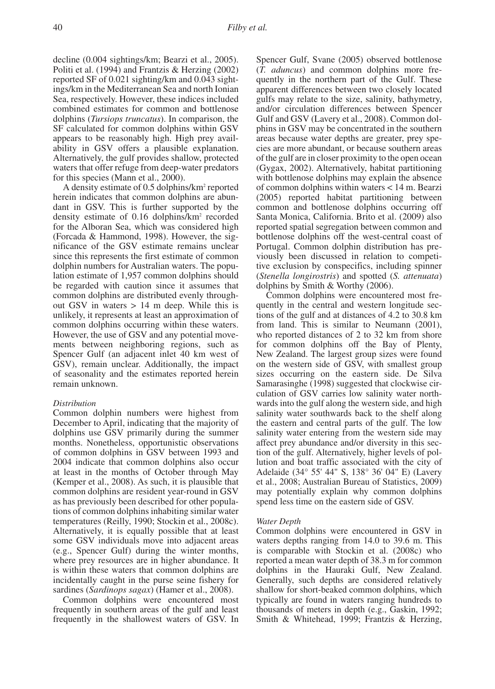decline (0.004 sightings/km; Bearzi et al., 2005). Politi et al. (1994) and Frantzis & Herzing (2002) reported SF of 0.021 sighting/km and 0.043 sightings/km in the Mediterranean Sea and north Ionian Sea, respectively. However, these indices included combined estimates for common and bottlenose dolphins (*Tursiops truncatus*). In comparison, the SF calculated for common dolphins within GSV appears to be reasonably high. High prey availability in GSV offers a plausible explanation. Alternatively, the gulf provides shallow, protected waters that offer refuge from deep-water predators for this species (Mann et al., 2000).

A density estimate of 0.5 dolphins/km<sup>2</sup> reported herein indicates that common dolphins are abundant in GSV. This is further supported by the density estimate of 0.16 dolphins/km2 recorded for the Alboran Sea, which was considered high (Forcada & Hammond, 1998). However, the significance of the GSV estimate remains unclear since this represents the first estimate of common dolphin numbers for Australian waters. The population estimate of 1,957 common dolphins should be regarded with caution since it assumes that common dolphins are distributed evenly throughout GSV in waters > 14 m deep. While this is unlikely, it represents at least an approximation of common dolphins occurring within these waters. However, the use of GSV and any potential movements between neighboring regions, such as Spencer Gulf (an adjacent inlet 40 km west of GSV), remain unclear. Additionally, the impact of seasonality and the estimates reported herein remain unknown.

# *Distribution*

Common dolphin numbers were highest from December to April, indicating that the majority of dolphins use GSV primarily during the summer months. Nonetheless, opportunistic observations of common dolphins in GSV between 1993 and 2004 indicate that common dolphins also occur at least in the months of October through May (Kemper et al., 2008). As such, it is plausible that common dolphins are resident year-round in GSV as has previously been described for other populations of common dolphins inhabiting similar water temperatures (Reilly, 1990; Stockin et al., 2008c). Alternatively, it is equally possible that at least some GSV individuals move into adjacent areas (e.g., Spencer Gulf) during the winter months, where prey resources are in higher abundance. It is within these waters that common dolphins are incidentally caught in the purse seine fishery for sardines (*Sardinops sagax*) (Hamer et al., 2008).

Common dolphins were encountered most frequently in southern areas of the gulf and least frequently in the shallowest waters of GSV. In

Spencer Gulf, Svane (2005) observed bottlenose (*T. aduncus*) and common dolphins more frequently in the northern part of the Gulf. These apparent differences between two closely located gulfs may relate to the size, salinity, bathymetry, and/or circulation differences between Spencer Gulf and GSV (Lavery et al., 2008). Common dolphins in GSV may be concentrated in the southern areas because water depths are greater, prey species are more abundant, or because southern areas of the gulf are in closer proximity to the open ocean (Gygax, 2002). Alternatively, habitat partitioning with bottlenose dolphins may explain the absence of common dolphins within waters < 14 m. Bearzi (2005) reported habitat partitioning between common and bottlenose dolphins occurring off Santa Monica, California. Brito et al. (2009) also reported spatial segregation between common and bottlenose dolphins off the west-central coast of Portugal. Common dolphin distribution has previously been discussed in relation to competitive exclusion by conspecifics, including spinner (*Stenella longirostris*) and spotted (*S. attenuata*) dolphins by Smith & Worthy (2006).

Common dolphins were encountered most frequently in the central and western longitude sections of the gulf and at distances of 4.2 to 30.8 km from land. This is similar to Neumann (2001), who reported distances of 2 to 32 km from shore for common dolphins off the Bay of Plenty, New Zealand. The largest group sizes were found on the western side of GSV, with smallest group sizes occurring on the eastern side. De Silva Samarasinghe (1998) suggested that clockwise circulation of GSV carries low salinity water northwards into the gulf along the western side, and high salinity water southwards back to the shelf along the eastern and central parts of the gulf. The low salinity water entering from the western side may affect prey abundance and/or diversity in this section of the gulf. Alternatively, higher levels of pollution and boat traffic associated with the city of Adelaide (34° 55' 44" S, 138° 36' 04" E) (Lavery et al., 2008; Australian Bureau of Statistics, 2009) may potentially explain why common dolphins spend less time on the eastern side of GSV.

#### *Water Depth*

Common dolphins were encountered in GSV in waters depths ranging from 14.0 to 39.6 m. This is comparable with Stockin et al. (2008c) who reported a mean water depth of 38.3 m for common dolphins in the Hauraki Gulf, New Zealand. Generally, such depths are considered relatively shallow for short-beaked common dolphins, which typically are found in waters ranging hundreds to thousands of meters in depth (e.g., Gaskin, 1992; Smith & Whitehead, 1999; Frantzis & Herzing,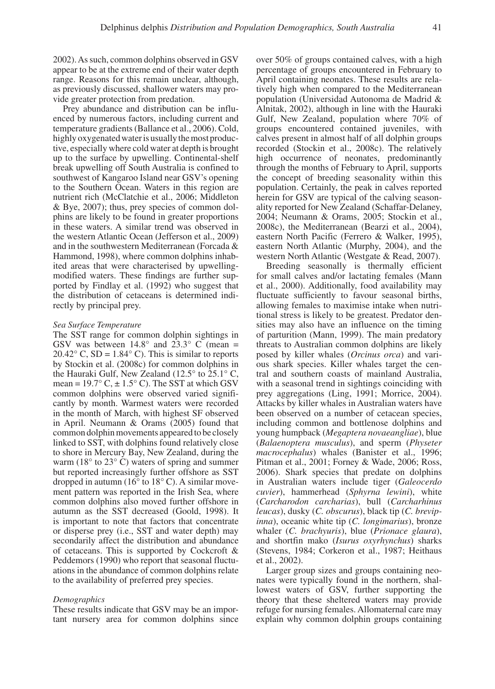2002). As such, common dolphins observed in GSV appear to be at the extreme end of their water depth range. Reasons for this remain unclear, although, as previously discussed, shallower waters may provide greater protection from predation.

Prey abundance and distribution can be influenced by numerous factors, including current and temperature gradients (Ballance et al., 2006). Cold, highly oxygenated water is usually the most productive, especially where cold water at depth is brought up to the surface by upwelling. Continental-shelf break upwelling off South Australia is confined to southwest of Kangaroo Island near GSV's opening to the Southern Ocean. Waters in this region are nutrient rich (McClatchie et al., 2006; Middleton & Bye, 2007); thus, prey species of common dolphins are likely to be found in greater proportions in these waters. A similar trend was observed in the western Atlantic Ocean (Jefferson et al., 2009) and in the southwestern Mediterranean (Forcada & Hammond, 1998), where common dolphins inhabited areas that were characterised by upwellingmodified waters. These findings are further supported by Findlay et al. (1992) who suggest that the distribution of cetaceans is determined indirectly by principal prey.

# *Sea Surface Temperature*

The SST range for common dolphin sightings in GSV was between  $14.8^\circ$  and  $23.3^\circ$  C (mean =  $20.42^{\circ}$  C, SD = 1.84 $^{\circ}$  C). This is similar to reports by Stockin et al. (2008c) for common dolphins in the Hauraki Gulf, New Zealand (12.5° to 25.1° C, mean =  $19.7^{\circ}$  C,  $\pm 1.5^{\circ}$  C). The SST at which GSV common dolphins were observed varied significantly by month. Warmest waters were recorded in the month of March, with highest SF observed in April. Neumann & Orams (2005) found that common dolphin movements appeared to be closely linked to SST, with dolphins found relatively close to shore in Mercury Bay, New Zealand, during the warm (18° to 23° C) waters of spring and summer but reported increasingly further offshore as SST dropped in autumn  $(16^{\circ}$  to  $18^{\circ}$  C). A similar movement pattern was reported in the Irish Sea, where common dolphins also moved further offshore in autumn as the SST decreased (Goold, 1998). It is important to note that factors that concentrate or disperse prey (i.e., SST and water depth) may secondarily affect the distribution and abundance of cetaceans. This is supported by Cockcroft & Peddemors (1990) who report that seasonal fluctuations in the abundance of common dolphins relate to the availability of preferred prey species.

# *Demographics*

These results indicate that GSV may be an important nursery area for common dolphins since over 50% of groups contained calves, with a high percentage of groups encountered in February to April containing neonates. These results are relatively high when compared to the Mediterranean population (Universidad Autonoma de Madrid & Alnitak, 2002), although in line with the Hauraki Gulf, New Zealand, population where 70% of groups encountered contained juveniles, with calves present in almost half of all dolphin groups recorded (Stockin et al., 2008c). The relatively high occurrence of neonates, predominantly through the months of February to April, supports the concept of breeding seasonality within this population. Certainly, the peak in calves reported herein for GSV are typical of the calving seasonality reported for New Zealand (Schaffar-Delaney, 2004; Neumann & Orams, 2005; Stockin et al., 2008c), the Mediterranean (Bearzi et al., 2004), eastern North Pacific (Ferrero & Walker, 1995), eastern North Atlantic (Murphy, 2004), and the western North Atlantic (Westgate & Read, 2007).

Breeding seasonally is thermally efficient for small calves and/or lactating females (Mann et al., 2000). Additionally, food availability may fluctuate sufficiently to favour seasonal births, allowing females to maximise intake when nutritional stress is likely to be greatest. Predator densities may also have an influence on the timing of parturition (Mann, 1999). The main predatory threats to Australian common dolphins are likely posed by killer whales (*Orcinus orca*) and various shark species. Killer whales target the central and southern coasts of mainland Australia, with a seasonal trend in sightings coinciding with prey aggregations (Ling, 1991; Morrice, 2004). Attacks by killer whales in Australian waters have been observed on a number of cetacean species, including common and bottlenose dolphins and young humpback (*Megaptera novaeangliae*), blue (*Balaenoptera musculus*), and sperm (*Physeter macrocephalus*) whales (Banister et al., 1996; Pitman et al., 2001; Forney & Wade, 2006; Ross, 2006). Shark species that predate on dolphins in Australian waters include tiger (*Galeocerdo cuvier*), hammerhead (*Sphyrna lewini*), white (*Carcharodon carcharias*), bull (*Carcharhinus leucas*), dusky (*C. obscurus*), black tip (*C. brevipinna*), oceanic white tip (*C. longimarius*), bronze whaler (*C. brachyuris*), blue (*Prionace glaura*), and shortfin mako (*Isurus oxyrhynchus*) sharks (Stevens, 1984; Corkeron et al., 1987; Heithaus et al., 2002).

Larger group sizes and groups containing neonates were typically found in the northern, shallowest waters of GSV, further supporting the theory that these sheltered waters may provide refuge for nursing females. Allomaternal care may explain why common dolphin groups containing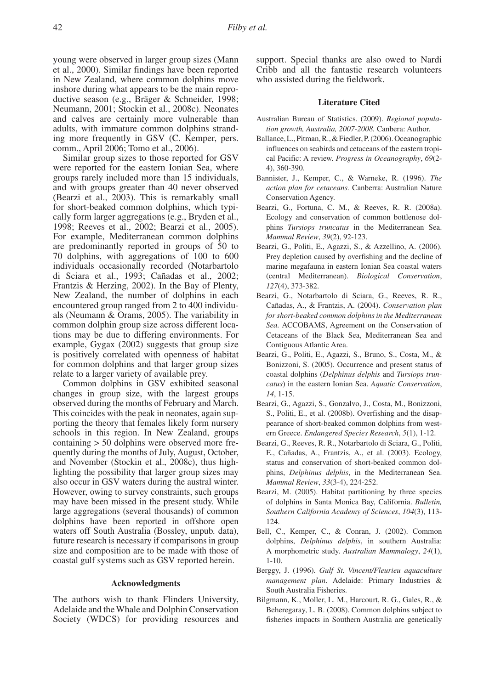young were observed in larger group sizes (Mann et al., 2000). Similar findings have been reported in New Zealand, where common dolphins move inshore during what appears to be the main reproductive season (e.g., Bräger & Schneider, 1998; Neumann, 2001; Stockin et al., 2008c). Neonates and calves are certainly more vulnerable than adults, with immature common dolphins stranding more frequently in GSV (C. Kemper, pers. comm., April 2006; Tomo et al., 2006).

Similar group sizes to those reported for GSV were reported for the eastern Ionian Sea, where groups rarely included more than 15 individuals, and with groups greater than 40 never observed (Bearzi et al., 2003). This is remarkably small for short-beaked common dolphins, which typically form larger aggregations (e.g., Bryden et al., 1998; Reeves et al., 2002; Bearzi et al., 2005). For example, Mediterranean common dolphins are predominantly reported in groups of 50 to 70 dolphins, with aggregations of 100 to 600 individuals occasionally recorded (Notarbartolo di Sciara et al., 1993; Cañadas et al., 2002; Frantzis & Herzing, 2002). In the Bay of Plenty, New Zealand, the number of dolphins in each encountered group ranged from 2 to 400 individuals (Neumann & Orams, 2005). The variability in common dolphin group size across different locations may be due to differing environments. For example, Gygax (2002) suggests that group size is positively correlated with openness of habitat for common dolphins and that larger group sizes relate to a larger variety of available prey.

Common dolphins in GSV exhibited seasonal changes in group size, with the largest groups observed during the months of February and March. This coincides with the peak in neonates, again supporting the theory that females likely form nursery schools in this region. In New Zealand, groups containing > 50 dolphins were observed more frequently during the months of July, August, October, and November (Stockin et al., 2008c), thus highlighting the possibility that larger group sizes may also occur in GSV waters during the austral winter. However, owing to survey constraints, such groups may have been missed in the present study. While large aggregations (several thousands) of common dolphins have been reported in offshore open waters off South Australia (Bossley, unpub. data), future research is necessary if comparisons in group size and composition are to be made with those of coastal gulf systems such as GSV reported herein.

# **Acknowledgments**

The authors wish to thank Flinders University, Adelaide and the Whale and Dolphin Conservation Society (WDCS) for providing resources and support. Special thanks are also owed to Nardi Cribb and all the fantastic research volunteers who assisted during the fieldwork.

# **Literature Cited**

- Australian Bureau of Statistics. (2009). *Regional population growth, Australia, 2007-2008.* Canbera: Author.
- Ballance, L., Pitman, R., & Fiedler, P. (2006). Oceanographic influences on seabirds and cetaceans of the eastern tropical Pacific: A review. *Progress in Oceanography*, *69*(2- 4), 360-390.
- Bannister, J., Kemper, C., & Warneke, R. (1996). *The action plan for cetaceans.* Canberra: Australian Nature Conservation Agency.
- Bearzi, G., Fortuna, C. M., & Reeves, R. R. (2008a). Ecology and conservation of common bottlenose dolphins *Tursiops truncatus* in the Mediterranean Sea. *Mammal Review*, *39*(2), 92-123.
- Bearzi, G., Politi, E., Agazzi, S., & Azzellino, A. (2006). Prey depletion caused by overfishing and the decline of marine megafauna in eastern Ionian Sea coastal waters (central Mediterranean). *Biological Conservation*, *127*(4), 373-382.
- Bearzi, G., Notarbartolo di Sciara, G., Reeves, R. R., Cañadas, A., & Frantzis, A. (2004). *Conservation plan for short-beaked common dolphins in the Mediterranean Sea.* ACCOBAMS, Agreement on the Conservation of Cetaceans of the Black Sea, Mediterranean Sea and Contiguous Atlantic Area.
- Bearzi, G., Politi, E., Agazzi, S., Bruno, S., Costa, M., & Bonizzoni, S. (2005). Occurrence and present status of coastal dolphins (*Delphinus delphis* and *Tursiops truncatus*) in the eastern Ionian Sea. *Aquatic Conservation*, *14*, 1-15.
- Bearzi, G., Agazzi, S., Gonzalvo, J., Costa, M., Bonizzoni, S., Politi, E., et al. (2008b). Overfishing and the disappearance of short-beaked common dolphins from western Greece. *Endangered Species Research*, *5*(1), 1-12.
- Bearzi, G., Reeves, R. R., Notarbartolo di Sciara, G., Politi, E., Cañadas, A., Frantzis, A., et al. (2003). Ecology, status and conservation of short-beaked common dolphins, *Delphinus delphis*, in the Mediterranean Sea. *Mammal Review*, *33*(3-4), 224-252.
- Bearzi, M. (2005). Habitat partitioning by three species of dolphins in Santa Monica Bay, California. *Bulletin, Southern California Academy of Sciences*, *104*(3), 113- 124.
- Bell, C., Kemper, C., & Conran, J. (2002). Common dolphins, *Delphinus delphis*, in southern Australia: A morphometric study. *Australian Mammalogy*, *24*(1), 1-10.
- Berggy, J. (1996). *Gulf St. Vincent/Fleurieu aquaculture management plan*. Adelaide: Primary Industries & South Australia Fisheries.
- Bilgmann, K., Moller, L. M., Harcourt, R. G., Gales, R., & Beheregaray, L. B. (2008). Common dolphins subject to fisheries impacts in Southern Australia are genetically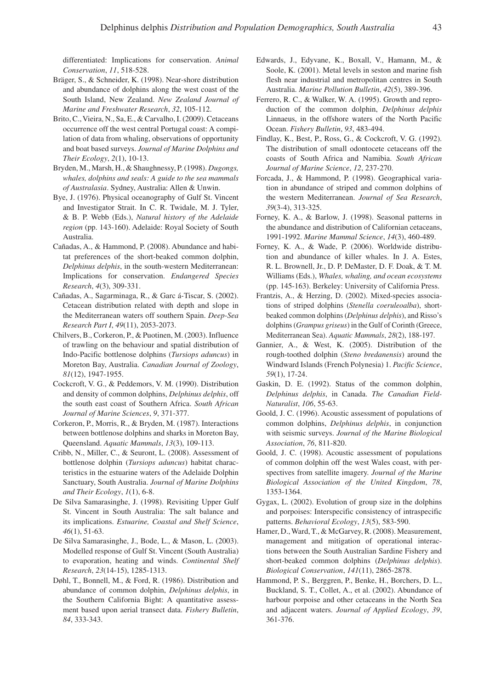differentiated: Implications for conservation. *Animal Conservation*, *11*, 518-528.

- Bräger, S., & Schneider, K. (1998). Near-shore distribution and abundance of dolphins along the west coast of the South Island, New Zealand. *New Zealand Journal of Marine and Freshwater Research*, *32*, 105-112.
- Brito, C., Vieira, N., Sa, E., & Carvalho, I. (2009). Cetaceans occurrence off the west central Portugal coast: A compilation of data from whaling, observations of opportunity and boat based surveys. *Journal of Marine Dolphins and Their Ecology*, *2*(1), 10-13.
- Bryden, M., Marsh, H., & Shaughnessy, P. (1998). *Dugongs, whales, dolphins and seals: A guide to the sea mammals of Australasia*. Sydney, Australia: Allen & Unwin.
- Bye, J. (1976). Physical oceanography of Gulf St. Vincent and Investigator Strait. In C. R. Twidale, M. J. Tyler, & B. P. Webb (Eds.), *Natural history of the Adelaide region* (pp. 143-160). Adelaide: Royal Society of South Australia.
- Cañadas, A., & Hammond, P. (2008). Abundance and habitat preferences of the short-beaked common dolphin, *Delphinus delphis*, in the south-western Mediterranean: Implications for conservation. *Endangered Species Research*, *4*(3), 309-331.
- Cañadas, A., Sagarminaga, R., & Garc á-Tiscar, S. (2002). Cetacean distribution related with depth and slope in the Mediterranean waters off southern Spain. *Deep-Sea Research Part I*, *49*(11), 2053-2073.
- Chilvers, B., Corkeron, P., & Puotinen, M. (2003). Influence of trawling on the behaviour and spatial distribution of Indo-Pacific bottlenose dolphins (*Tursiops aduncus*) in Moreton Bay, Australia. *Canadian Journal of Zoology*, *81*(12), 1947-1955.
- Cockcroft, V. G., & Peddemors, V. M. (1990). Distribution and density of common dolphins, *Delphinus delphis*, off the south east coast of Southern Africa. *South African Journal of Marine Sciences*, *9*, 371-377.
- Corkeron, P., Morris, R., & Bryden, M. (1987). Interactions between bottlenose dolphins and sharks in Moreton Bay, Queensland. *Aquatic Mammals*, *13*(3), 109-113.
- Cribb, N., Miller, C., & Seuront, L. (2008). Assessment of bottlenose dolphin (*Tursiops aduncus*) habitat characteristics in the estuarine waters of the Adelaide Dolphin Sanctuary, South Australia. *Journal of Marine Dolphins and Their Ecology*, *1*(1), 6-8.
- De Silva Samarasinghe, J. (1998). Revisiting Upper Gulf St. Vincent in South Australia: The salt balance and its implications. *Estuarine, Coastal and Shelf Science*, *46*(1), 51-63.
- De Silva Samarasinghe, J., Bode, L., & Mason, L. (2003). Modelled response of Gulf St. Vincent (South Australia) to evaporation, heating and winds. *Continental Shelf Research*, *23*(14-15), 1285-1313.
- Døhl, T., Bonnell, M., & Ford, R. (1986). Distribution and abundance of common dolphin, *Delphinus delphis*, in the Southern California Bight: A quantitative assessment based upon aerial transect data. *Fishery Bulletin*, *84*, 333-343.
- Edwards, J., Edyvane, K., Boxall, V., Hamann, M., & Soole, K. (2001). Metal levels in seston and marine fish flesh near industrial and metropolitan centres in South Australia. *Marine Pollution Bulletin*, *42*(5), 389-396.
- Ferrero, R. C., & Walker, W. A. (1995). Growth and reproduction of the common dolphin, *Delphinus delphis*  Linnaeus, in the offshore waters of the North Pacific Ocean. *Fishery Bulletin*, *93*, 483-494.
- Findlay, K., Best, P., Ross, G., & Cockcroft, V. G. (1992). The distribution of small odontocete cetaceans off the coasts of South Africa and Namibia. *South African Journal of Marine Science*, *12*, 237-270.
- Forcada, J., & Hammond, P. (1998). Geographical variation in abundance of striped and common dolphins of the western Mediterranean. *Journal of Sea Research*, *39*(3-4), 313-325.
- Forney, K. A., & Barlow, J. (1998). Seasonal patterns in the abundance and distribution of Californian cetaceans, 1991-1992. *Marine Mammal Science*, *14*(3), 460-489.
- Forney, K. A., & Wade, P. (2006). Worldwide distribution and abundance of killer whales. In J. A. Estes, R. L. Brownell, Jr., D. P. DeMaster, D. F. Doak, & T. M. Williams (Eds.), *Whales, whaling, and ocean ecosystems*  (pp. 145-163). Berkeley: University of California Press.
- Frantzis, A., & Herzing, D. (2002). Mixed-species associations of striped dolphins (*Stenella coeruleoalba*), shortbeaked common dolphins (*Delphinus delphis*), and Risso's dolphins (*Grampus griseus*) in the Gulf of Corinth (Greece, Mediterranean Sea). *Aquatic Mammals*, *28*(2), 188-197.
- Gannier, A., & West, K. (2005). Distribution of the rough-toothed dolphin (*Steno bredanensis*) around the Windward Islands (French Polynesia) 1. *Pacific Science*, *59*(1), 17-24.
- Gaskin, D. E. (1992). Status of the common dolphin, *Delphinus delphis*, in Canada. *The Canadian Field-Naturalist*, *106*, 55-63.
- Goold, J. C. (1996). Acoustic assessment of populations of common dolphins, *Delphinus delphis*, in conjunction with seismic surveys. *Journal of the Marine Biological Association*, *76*, 811-820.
- Goold, J. C. (1998). Acoustic assessment of populations of common dolphin off the west Wales coast, with perspectives from satellite imagery. *Journal of the Marine Biological Association of the United Kingdom*, *78*, 1353-1364.
- Gygax, L. (2002). Evolution of group size in the dolphins and porpoises: Interspecific consistency of intraspecific patterns. *Behavioral Ecology*, *13*(5), 583-590.
- Hamer, D., Ward, T., & McGarvey, R. (2008). Measurement, management and mitigation of operational interactions between the South Australian Sardine Fishery and short-beaked common dolphins (*Delphinus delphis*). *Biological Conservation*, *141*(11), 2865-2878.
- Hammond, P. S., Berggren, P., Benke, H., Borchers, D. L., Buckland, S. T., Collet, A., et al. (2002). Abundance of harbour porpoise and other cetaceans in the North Sea and adjacent waters. *Journal of Applied Ecology*, *39*, 361-376.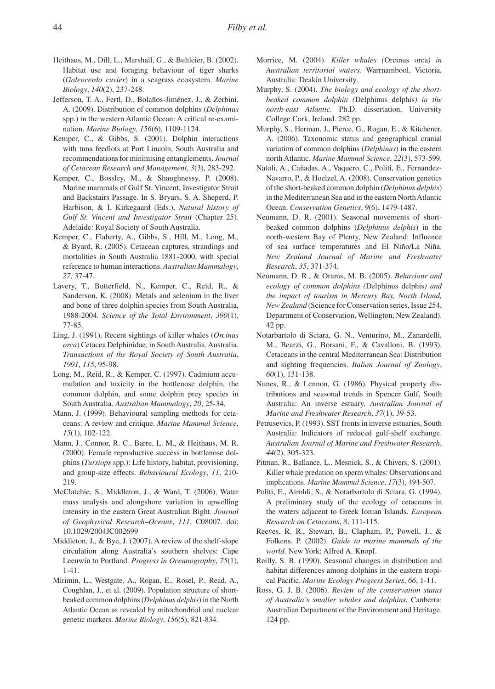- Heithaus, M., Dill, L., Marshall, G., & Buhleier, B. (2002). Habitat use and foraging behaviour of tiger sharks (*Galeocerdo cuvier*) in a seagrass ecosystem. *Marine Biology*, *140*(2), 237-248.
- Jefferson, T. A., Fertl, D., Bolaños-Jiménez, J., & Zerbini, A. (2009). Distribution of common dolphins (*Delphinus* spp.) in the western Atlantic Ocean: A critical re-examination. *Marine Biology*, *156*(6), 1109-1124.
- Kemper, C., & Gibbs, S. (2001). Dolphin interactions with tuna feedlots at Port Lincoln, South Australia and recommendations for minimising entanglements. *Journal of Cetacean Research and Management*, *3*(3), 283-292.
- Kemper, C., Bossley, M., & Shaughnessy, P. (2008). Marine mammals of Gulf St. Vincent, Investigator Strait and Backstairs Passage. In S. Bryars, S. A. Sheperd, P. Harbison, & I. Kirkegaard (Eds.), *Natural history of Gulf St. Vincent and Investigator Strait* (Chapter 25)*.*  Adelaide: Royal Society of South Australia.
- Kemper, C., Flaherty, A., Gibbs, S., Hill, M., Long, M., & Byard, R. (2005). Cetacean captures, strandings and mortalities in South Australia 1881-2000, with special reference to human interactions. *Australian Mammalogy*, *27*, 37-47.
- Lavery, T., Butterfield, N., Kemper, C., Reid, R., & Sanderson, K. (2008). Metals and selenium in the liver and bone of three dolphin species from South Australia, 1988-2004. *Science of the Total Environment*, *390*(1), 77-85.
- Ling, J. (1991). Recent sightings of killer whales (*Orcinus orca*) Cetacea Delphinidae, in South Australia, Australia. *Transactions of the Royal Society of South Australia*, *1991*, *115*, 95-98.
- Long, M., Reid, R., & Kemper, C. (1997). Cadmium accumulation and toxicity in the bottlenose dolphin, the common dolphin, and some dolphin prey species in South Australia. *Australian Mammalogy*, *20*, 25-34.
- Mann, J. (1999). Behavioural sampling methods for cetaceans: A review and critique. *Marine Mammal Science*, *15*(1), 102-122.
- Mann, J., Connor, R. C., Barre, L. M., & Heithaus, M. R. (2000). Female reproductive success in bottlenose dolphins (*Tursiops* spp.): Life history, habitat, provisioning, and group-size effects. *Behavioural Ecology*, *11*, 210- 219.
- McClatchie, S., Middleton, J., & Ward, T. (2006). Water mass analysis and alongshore variation in upwelling intensity in the eastern Great Australian Bight. *Journal of Geophysical Research–Oceans*, *111*, C08007. doi: 10.1029/2004JC002699
- Middleton, J., & Bye, J. (2007). A review of the shelf-slope circulation along Australia's southern shelves: Cape Leeuwin to Portland. *Progress in Oceanography*, *75*(1), 1-41.
- Mirimin, L., Westgate, A., Rogan, E., Rosel, P., Read, A., Coughlan, J., et al. (2009). Population structure of shortbeaked common dolphins (*Delphinus delphis*) in the North Atlantic Ocean as revealed by mitochondrial and nuclear genetic markers. *Marine Biology*, *156*(5), 821-834.
- Morrice, M. (2004). *Killer whales (*Orcinus orca*) in Australian territorial waters.* Warrnambool, Victoria, Australia: Deakin University.
- Murphy, S. (2004). *The biology and ecology of the shortbeaked common dolphin (*Delphinus delphis*) in the north-east Atlantic.* Ph.D. dissertation, University College Cork, Ireland. 282 pp.
- Murphy, S., Herman, J., Pierce, G., Rogan, E., & Kitchener, A. (2006). Taxonomic status and geographical cranial variation of common dolphins (*Delphinus*) in the eastern north Atlantic. *Marine Mammal Science*, *22*(3), 573-599.
- Natoli, A., Cañadas, A., Vaquero, C., Politi, E., Fernandez-Navarro, P., & Hoelzel, A. (2008). Conservation genetics of the short-beaked common dolphin (*Delphinus delphis*) in the Mediterranean Sea and in the eastern North Atlantic Ocean. *Conservation Genetics*, *9*(6), 1479-1487.
- Neumann, D. R. (2001). Seasonal movements of shortbeaked common dolphins (*Delphinus delphis*) in the north-western Bay of Plenty, New Zealand: Influence of sea surface temperatures and El Niño/La Niña. *New Zealand Journal of Marine and Freshwater Research*, *35*, 371-374.
- Neumann, D. R., & Orams, M. B. (2005). *Behaviour and ecology of common dolphins (*Delphinus delphis*) and the impact of tourism in Mercury Bay, North Island, New Zealand* (Science for Conservation series, Issue 254, Department of Conservation, Wellington, New Zealand). 42 pp.
- Notarbartolo di Sciara, G. N., Venturino, M., Zanardelli, M., Bearzi, G., Borsani, F., & Cavalloni, B. (1993). Cetaceans in the central Mediterranean Sea: Distribution and sighting frequencies. *Italian Journal of Zoology*, *60*(1), 131-138.
- Nunes, R., & Lennon, G. (1986). Physical property distributions and seasonal trends in Spencer Gulf, South Australia: An inverse estuary. *Australian Journal of Marine and Freshwater Research*, *37*(1), 39-53.
- Petrusevics, P. (1993). SST fronts in inverse estuaries, South Australia: Indicators of reduced gulf-shelf exchange. *Australian Journal of Marine and Freshwater Research*, *44*(2), 305-323.
- Pitman, R., Ballance, L., Mesnick, S., & Chivers, S. (2001). Killer whale predation on sperm whales: Observations and implications. *Marine Mammal Science*, *17*(3), 494-507.
- Politi, E., Airoldi, S., & Notarbartolo di Sciara, G. (1994). A preliminary study of the ecology of cetaceans in the waters adjacent to Greek Ionian Islands. *European Research on Cetaceans*, *8*, 111-115.
- Reeves, R. R., Stewart, B., Clapham, P., Powell, J., & Folkens, P. (2002). *Guide to marine mammals of the world.* New York: Alfred A. Knopf.
- Reilly, S. B. (1990). Seasonal changes in distribution and habitat differences among dolphins in the eastern tropical Pacific. *Marine Ecology Progress Series*, *66*, 1-11.
- Ross, G. J. B. (2006). *Review of the conservation status of Australia's smaller whales and dolphins.* Canberra: Australian Department of the Environment and Heritage. 124 pp.